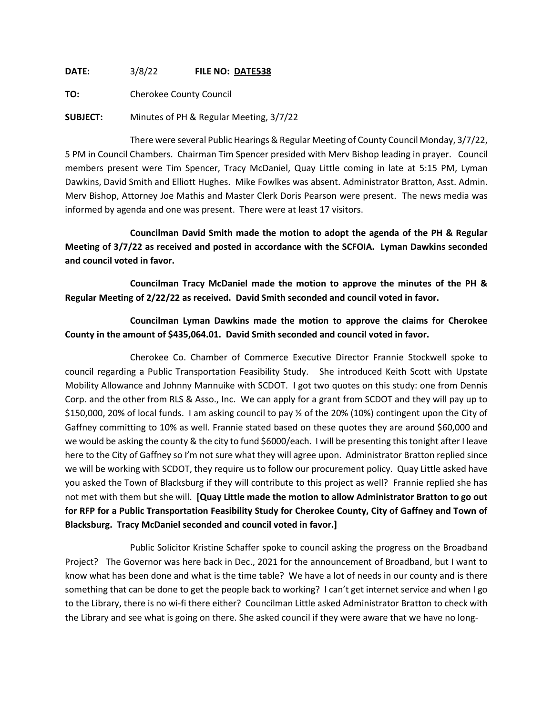**DATE:** 3/8/22 **FILE NO: DATE538**

**TO:** Cherokee County Council

**SUBJECT:** Minutes of PH & Regular Meeting, 3/7/22

There were several Public Hearings & Regular Meeting of County Council Monday, 3/7/22, 5 PM in Council Chambers. Chairman Tim Spencer presided with Merv Bishop leading in prayer. Council members present were Tim Spencer, Tracy McDaniel, Quay Little coming in late at 5:15 PM, Lyman Dawkins, David Smith and Elliott Hughes. Mike Fowlkes was absent. Administrator Bratton, Asst. Admin. Merv Bishop, Attorney Joe Mathis and Master Clerk Doris Pearson were present. The news media was informed by agenda and one was present. There were at least 17 visitors.

**Councilman David Smith made the motion to adopt the agenda of the PH & Regular Meeting of 3/7/22 as received and posted in accordance with the SCFOIA. Lyman Dawkins seconded and council voted in favor.**

**Councilman Tracy McDaniel made the motion to approve the minutes of the PH & Regular Meeting of 2/22/22 as received. David Smith seconded and council voted in favor.**

**Councilman Lyman Dawkins made the motion to approve the claims for Cherokee County in the amount of \$435,064.01. David Smith seconded and council voted in favor.**

Cherokee Co. Chamber of Commerce Executive Director Frannie Stockwell spoke to council regarding a Public Transportation Feasibility Study. She introduced Keith Scott with Upstate Mobility Allowance and Johnny Mannuike with SCDOT. I got two quotes on this study: one from Dennis Corp. and the other from RLS & Asso., Inc. We can apply for a grant from SCDOT and they will pay up to \$150,000, 20% of local funds. I am asking council to pay ½ of the 20% (10%) contingent upon the City of Gaffney committing to 10% as well. Frannie stated based on these quotes they are around \$60,000 and we would be asking the county & the city to fund \$6000/each. I will be presenting this tonight after I leave here to the City of Gaffney so I'm not sure what they will agree upon. Administrator Bratton replied since we will be working with SCDOT, they require us to follow our procurement policy. Quay Little asked have you asked the Town of Blacksburg if they will contribute to this project as well? Frannie replied she has not met with them but she will. **[Quay Little made the motion to allow Administrator Bratton to go out for RFP for a Public Transportation Feasibility Study for Cherokee County, City of Gaffney and Town of Blacksburg. Tracy McDaniel seconded and council voted in favor.]**

Public Solicitor Kristine Schaffer spoke to council asking the progress on the Broadband Project? The Governor was here back in Dec., 2021 for the announcement of Broadband, but I want to know what has been done and what is the time table? We have a lot of needs in our county and is there something that can be done to get the people back to working? I can't get internet service and when I go to the Library, there is no wi-fi there either? Councilman Little asked Administrator Bratton to check with the Library and see what is going on there. She asked council if they were aware that we have no long-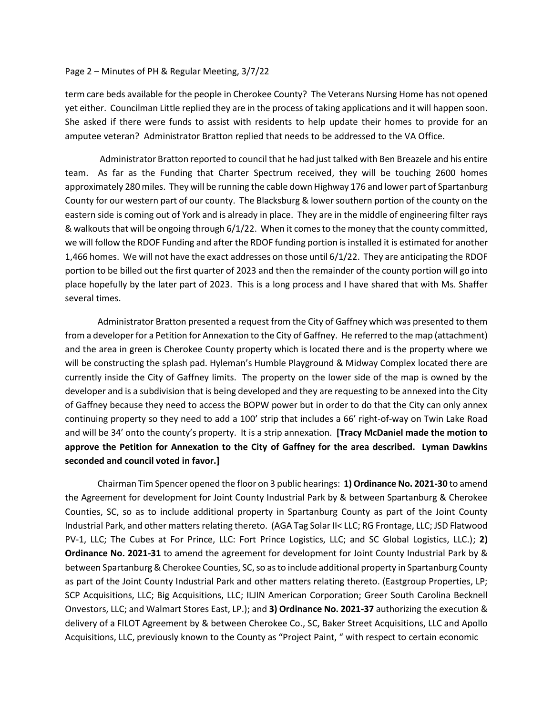## Page 2 – Minutes of PH & Regular Meeting, 3/7/22

term care beds available for the people in Cherokee County? The Veterans Nursing Home has not opened yet either. Councilman Little replied they are in the process of taking applications and it will happen soon. She asked if there were funds to assist with residents to help update their homes to provide for an amputee veteran? Administrator Bratton replied that needs to be addressed to the VA Office.

Administrator Bratton reported to council that he had just talked with Ben Breazele and his entire team. As far as the Funding that Charter Spectrum received, they will be touching 2600 homes approximately 280 miles. They will be running the cable down Highway 176 and lower part of Spartanburg County for our western part of our county. The Blacksburg & lower southern portion of the county on the eastern side is coming out of York and is already in place. They are in the middle of engineering filter rays & walkouts that will be ongoing through 6/1/22. When it comes to the money that the county committed, we will follow the RDOF Funding and after the RDOF funding portion is installed it is estimated for another 1,466 homes. We will not have the exact addresses on those until 6/1/22. They are anticipating the RDOF portion to be billed out the first quarter of 2023 and then the remainder of the county portion will go into place hopefully by the later part of 2023. This is a long process and I have shared that with Ms. Shaffer several times.

Administrator Bratton presented a request from the City of Gaffney which was presented to them from a developer for a Petition for Annexation to the City of Gaffney. He referred to the map (attachment) and the area in green is Cherokee County property which is located there and is the property where we will be constructing the splash pad. Hyleman's Humble Playground & Midway Complex located there are currently inside the City of Gaffney limits. The property on the lower side of the map is owned by the developer and is a subdivision that is being developed and they are requesting to be annexed into the City of Gaffney because they need to access the BOPW power but in order to do that the City can only annex continuing property so they need to add a 100' strip that includes a 66' right-of-way on Twin Lake Road and will be 34' onto the county's property. It is a strip annexation. **[Tracy McDaniel made the motion to approve the Petition for Annexation to the City of Gaffney for the area described. Lyman Dawkins seconded and council voted in favor.]**

Chairman Tim Spencer opened the floor on 3 public hearings: **1) Ordinance No. 2021-30** to amend the Agreement for development for Joint County Industrial Park by & between Spartanburg & Cherokee Counties, SC, so as to include additional property in Spartanburg County as part of the Joint County Industrial Park, and other matters relating thereto. (AGA Tag Solar II< LLC; RG Frontage, LLC; JSD Flatwood PV-1, LLC; The Cubes at For Prince, LLC: Fort Prince Logistics, LLC; and SC Global Logistics, LLC.); **2) Ordinance No. 2021-31** to amend the agreement for development for Joint County Industrial Park by & between Spartanburg & Cherokee Counties, SC, so as to include additional property in Spartanburg County as part of the Joint County Industrial Park and other matters relating thereto. (Eastgroup Properties, LP; SCP Acquisitions, LLC; Big Acquisitions, LLC; ILJIN American Corporation; Greer South Carolina Becknell Onvestors, LLC; and Walmart Stores East, LP.); and **3) Ordinance No. 2021-37** authorizing the execution & delivery of a FILOT Agreement by & between Cherokee Co., SC, Baker Street Acquisitions, LLC and Apollo Acquisitions, LLC, previously known to the County as "Project Paint, " with respect to certain economic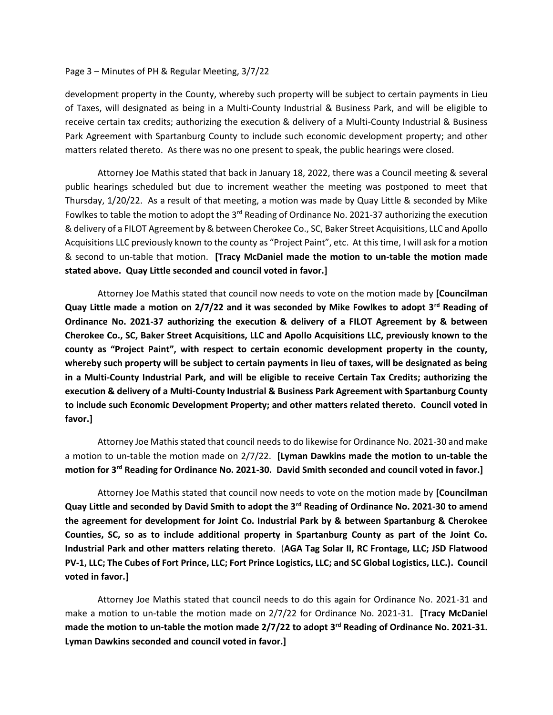## Page 3 – Minutes of PH & Regular Meeting, 3/7/22

development property in the County, whereby such property will be subject to certain payments in Lieu of Taxes, will designated as being in a Multi-County Industrial & Business Park, and will be eligible to receive certain tax credits; authorizing the execution & delivery of a Multi-County Industrial & Business Park Agreement with Spartanburg County to include such economic development property; and other matters related thereto. As there was no one present to speak, the public hearings were closed.

Attorney Joe Mathis stated that back in January 18, 2022, there was a Council meeting & several public hearings scheduled but due to increment weather the meeting was postponed to meet that Thursday, 1/20/22. As a result of that meeting, a motion was made by Quay Little & seconded by Mike Fowlkes to table the motion to adopt the 3<sup>rd</sup> Reading of Ordinance No. 2021-37 authorizing the execution & delivery of a FILOT Agreement by & between Cherokee Co., SC, Baker Street Acquisitions, LLC and Apollo Acquisitions LLC previously known to the county as "Project Paint", etc. At this time, I will ask for a motion & second to un-table that motion. **[Tracy McDaniel made the motion to un-table the motion made stated above. Quay Little seconded and council voted in favor.]**

Attorney Joe Mathis stated that council now needs to vote on the motion made by **[Councilman Quay Little made a motion on 2/7/22 and it was seconded by Mike Fowlkes to adopt 3rd Reading of Ordinance No. 2021-37 authorizing the execution & delivery of a FILOT Agreement by & between Cherokee Co., SC, Baker Street Acquisitions, LLC and Apollo Acquisitions LLC, previously known to the county as "Project Paint", with respect to certain economic development property in the county, whereby such property will be subject to certain payments in lieu of taxes, will be designated as being in a Multi-County Industrial Park, and will be eligible to receive Certain Tax Credits; authorizing the execution & delivery of a Multi-County Industrial & Business Park Agreement with Spartanburg County to include such Economic Development Property; and other matters related thereto. Council voted in favor.]**

Attorney Joe Mathis stated that council needs to do likewise for Ordinance No. 2021-30 and make a motion to un-table the motion made on 2/7/22. **[Lyman Dawkins made the motion to un-table the motion for 3rd Reading for Ordinance No. 2021-30. David Smith seconded and council voted in favor.]**

Attorney Joe Mathis stated that council now needs to vote on the motion made by **[Councilman Quay Little and seconded by David Smith to adopt the 3rd Reading of Ordinance No. 2021-30 to amend the agreement for development for Joint Co. Industrial Park by & between Spartanburg & Cherokee Counties, SC, so as to include additional property in Spartanburg County as part of the Joint Co. Industrial Park and other matters relating thereto**. (**AGA Tag Solar II, RC Frontage, LLC; JSD Flatwood PV-1, LLC; The Cubes of Fort Prince, LLC; Fort Prince Logistics, LLC; and SC Global Logistics, LLC.). Council voted in favor.]**

Attorney Joe Mathis stated that council needs to do this again for Ordinance No. 2021-31 and make a motion to un-table the motion made on 2/7/22 for Ordinance No. 2021-31. **[Tracy McDaniel made the motion to un-table the motion made 2/7/22 to adopt 3rd Reading of Ordinance No. 2021-31. Lyman Dawkins seconded and council voted in favor.]**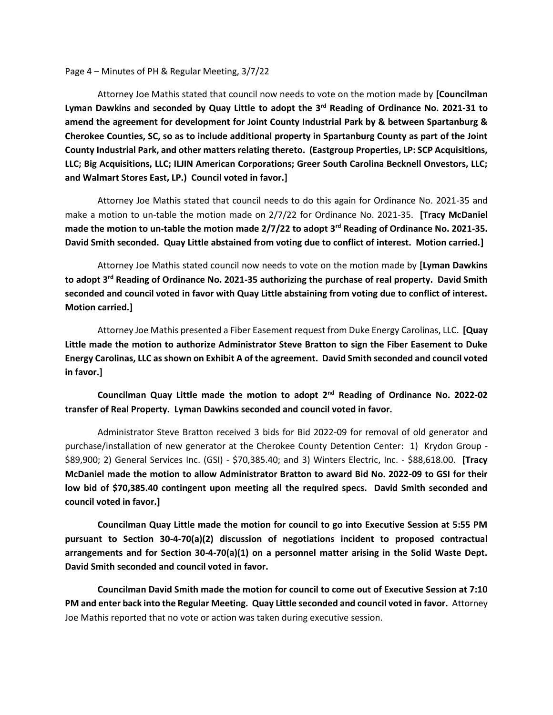Page 4 – Minutes of PH & Regular Meeting, 3/7/22

Attorney Joe Mathis stated that council now needs to vote on the motion made by **[Councilman Lyman Dawkins and seconded by Quay Little to adopt the 3rd Reading of Ordinance No. 2021-31 to amend the agreement for development for Joint County Industrial Park by & between Spartanburg & Cherokee Counties, SC, so as to include additional property in Spartanburg County as part of the Joint County Industrial Park, and other matters relating thereto. (Eastgroup Properties, LP: SCP Acquisitions, LLC; Big Acquisitions, LLC; ILJIN American Corporations; Greer South Carolina Becknell Onvestors, LLC; and Walmart Stores East, LP.) Council voted in favor.]**

Attorney Joe Mathis stated that council needs to do this again for Ordinance No. 2021-35 and make a motion to un-table the motion made on 2/7/22 for Ordinance No. 2021-35. **[Tracy McDaniel made the motion to un-table the motion made 2/7/22 to adopt 3rd Reading of Ordinance No. 2021-35. David Smith seconded. Quay Little abstained from voting due to conflict of interest. Motion carried.]**

Attorney Joe Mathis stated council now needs to vote on the motion made by **[Lyman Dawkins to adopt 3rd Reading of Ordinance No. 2021-35 authorizing the purchase of real property. David Smith seconded and council voted in favor with Quay Little abstaining from voting due to conflict of interest. Motion carried.]**

Attorney Joe Mathis presented a Fiber Easement request from Duke Energy Carolinas, LLC. **[Quay Little made the motion to authorize Administrator Steve Bratton to sign the Fiber Easement to Duke Energy Carolinas, LLC as shown on Exhibit A of the agreement. David Smith seconded and council voted in favor.]**

**Councilman Quay Little made the motion to adopt 2nd Reading of Ordinance No. 2022-02 transfer of Real Property. Lyman Dawkins seconded and council voted in favor.**

Administrator Steve Bratton received 3 bids for Bid 2022-09 for removal of old generator and purchase/installation of new generator at the Cherokee County Detention Center: 1) Krydon Group - \$89,900; 2) General Services Inc. (GSI) - \$70,385.40; and 3) Winters Electric, Inc. - \$88,618.00. **[Tracy McDaniel made the motion to allow Administrator Bratton to award Bid No. 2022-09 to GSI for their low bid of \$70,385.40 contingent upon meeting all the required specs. David Smith seconded and council voted in favor.]**

**Councilman Quay Little made the motion for council to go into Executive Session at 5:55 PM pursuant to Section 30-4-70(a)(2) discussion of negotiations incident to proposed contractual arrangements and for Section 30-4-70(a)(1) on a personnel matter arising in the Solid Waste Dept. David Smith seconded and council voted in favor.**

**Councilman David Smith made the motion for council to come out of Executive Session at 7:10 PM and enter back into the Regular Meeting. Quay Little seconded and council voted in favor.** Attorney Joe Mathis reported that no vote or action was taken during executive session.